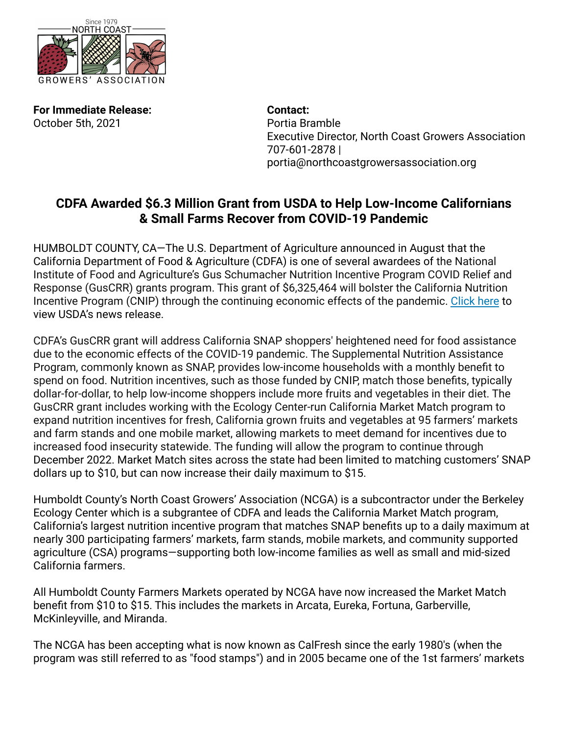

**For Immediate Release:** *Contact:* October 5th, 2021 **Portia Bramble** 

Executive Director, North Coast Growers Association 707-601-2878 | portia@northcoastgrowersassociation.org

## **CDFA Awarded \$6.3 Million Grant from USDA to Help Low-Income Californians & Small Farms Recover from COVID-19 Pandemic**

HUMBOLDT COUNTY, CA—The U.S. Department of Agriculture announced in August that the California Department of Food & Agriculture (CDFA) is one of several awardees of the National Institute of Food and Agriculture's Gus Schumacher Nutrition Incentive Program COVID Relief and Response (GusCRR) grants program. This grant of \$6,325,464 will bolster the California Nutrition Incentive Program (CNIP) through the continuing economic effects of the pandemic. [Click here](https://gcc02.safelinks.protection.outlook.com/?url=https%3A%2F%2Fwww.usda.gov%2Fmedia%2Fpress-releases%2F2021%2F08%2F17%2Fusda-invests-69-million-support-critical-food-and-nutrition&data=04%7C01%7Cmary.alexander%40cdfa.ca.gov%7Cacda8cf5b5bd4eefb91308d961dd7e90%7Cafdfd251a22248978cbaae68cabfffbc%7C0%7C0%7C637648426207257224%7CUnknown%7CTWFpbGZsb3d8eyJWIjoiMC4wLjAwMDAiLCJQIjoiV2luMzIiLCJBTiI6Ik1haWwiLCJXVCI6Mn0%3D%7C1000&sdata=lXKkBqJdlpYeBpmKs4PoAc%2Fm56CGxm7G2yot4ZRZTFg%3D&reserved=0) to view USDA's news release.

CDFA's GusCRR grant will address California SNAP shoppers' heightened need for food assistance due to the economic effects of the COVID-19 pandemic. The Supplemental Nutrition Assistance Program, commonly known as SNAP, provides low-income households with a monthly benefit to spend on food. Nutrition incentives, such as those funded by CNIP, match those benefits, typically dollar-for-dollar, to help low-income shoppers include more fruits and vegetables in their diet. The GusCRR grant includes working with the Ecology Center-run California Market Match program to expand nutrition incentives for fresh, California grown fruits and vegetables at 95 farmers' markets and farm stands and one mobile market, allowing markets to meet demand for incentives due to increased food insecurity statewide. The funding will allow the program to continue through December 2022. Market Match sites across the state had been limited to matching customers' SNAP dollars up to \$10, but can now increase their daily maximum to \$15.

Humboldt County's North Coast Growers' Association (NCGA) is a subcontractor under the Berkeley Ecology Center which is a subgrantee of CDFA and leads the California Market Match program, California's largest nutrition incentive program that matches SNAP benefits up to a daily maximum at nearly 300 participating farmers' markets, farm stands, mobile markets, and community supported agriculture (CSA) programs—supporting both low-income families as well as small and mid-sized California farmers.

All Humboldt County Farmers Markets operated by NCGA have now increased the Market Match benefit from \$10 to \$15. This includes the markets in Arcata, Eureka, Fortuna, Garberville, McKinleyville, and Miranda.

The NCGA has been accepting what is now known as CalFresh since the early 1980's (when the program was still referred to as "food stamps") and in 2005 became one of the 1st farmers' markets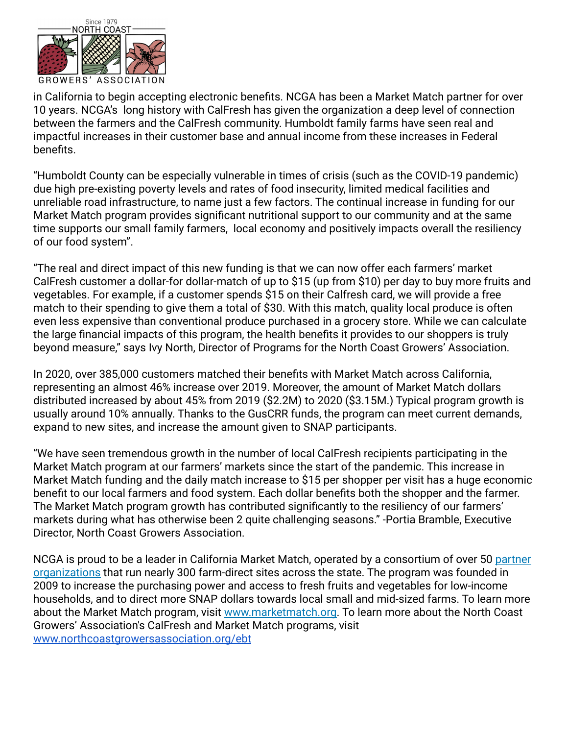

in California to begin accepting electronic benefits. NCGA has been a Market Match partner for over 10 years. NCGA's long history with CalFresh has given the organization a deep level of connection between the farmers and the CalFresh community. Humboldt family farms have seen real and impactful increases in their customer base and annual income from these increases in Federal benefits.

"Humboldt County can be especially vulnerable in times of crisis (such as the COVID-19 pandemic) due high pre-existing poverty levels and rates of food insecurity, limited medical facilities and unreliable road infrastructure, to name just a few factors. The continual increase in funding for our Market Match program provides significant nutritional support to our community and at the same time supports our small family farmers, local economy and positively impacts overall the resiliency of our food system".

"The real and direct impact of this new funding is that we can now offer each farmers' market CalFresh customer a dollar-for dollar-match of up to \$15 (up from \$10) per day to buy more fruits and vegetables. For example, if a customer spends \$15 on their Calfresh card, we will provide a free match to their spending to give them a total of \$30. With this match, quality local produce is often even less expensive than conventional produce purchased in a grocery store. While we can calculate the large financial impacts of this program, the health benefits it provides to our shoppers is truly beyond measure," says Ivy North, Director of Programs for the North Coast Growers' Association.

In 2020, over 385,000 customers matched their benefits with Market Match across California, representing an almost 46% increase over 2019. Moreover, the amount of Market Match dollars distributed increased by about 45% from 2019 (\$2.2M) to 2020 (\$3.15M.) Typical program growth is usually around 10% annually. Thanks to the GusCRR funds, the program can meet current demands, expand to new sites, and increase the amount given to SNAP participants.

"We have seen tremendous growth in the number of local CalFresh recipients participating in the Market Match program at our farmers' markets since the start of the pandemic. This increase in Market Match funding and the daily match increase to \$15 per shopper per visit has a huge economic benefit to our local farmers and food system. Each dollar benefits both the shopper and the farmer. The Market Match program growth has contributed significantly to the resiliency of our farmers' markets during what has otherwise been 2 quite challenging seasons." -Portia Bramble, Executive Director, North Coast Growers Association.

NCGA is proud to be a leader in California Market Match, operated by a consortium of over 50 [partner](http://marketmatch.org/partners) [organizations](http://marketmatch.org/partners) that run nearly 300 farm-direct sites across the state. The program was founded in 2009 to increase the purchasing power and access to fresh fruits and vegetables for low-income households, and to direct more SNAP dollars towards local small and mid-sized farms. To learn more about the Market Match program, visit [www.marketmatch.org](http://www.marketmatch.org). To learn more about the North Coast Growers' Association's CalFresh and Market Match programs, visit [www.northcoastgrowersassociation.org/ebt](http://www.northcoastgrowersassociation.org/ebt)